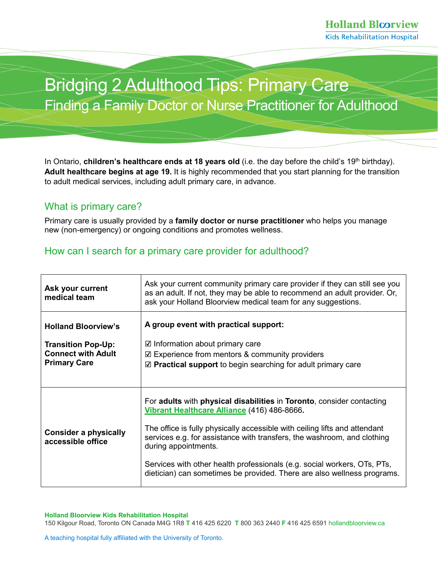## Bridging 2 Adulthood Tips: Primary Care Finding a Family Doctor or Nurse Practitioner for Adulthood

In Ontario, **children's healthcare ends at 18 years old** (i.e. the day before the child's 19<sup>th</sup> birthday). **Adult healthcare begins at age 19.** It is highly recommended that you start planning for the transition to adult medical services, including adult primary care, in advance.

## What is primary care?

Primary care is usually provided by a **family doctor or nurse practitioner** who helps you manage new (non-emergency) or ongoing conditions and promotes wellness.

## How can I search for a primary care provider for adulthood?

| Ask your current<br>medical team                  | Ask your current community primary care provider if they can still see you<br>as an adult. If not, they may be able to recommend an adult provider. Or,<br>ask your Holland Bloorview medical team for any suggestions. |
|---------------------------------------------------|-------------------------------------------------------------------------------------------------------------------------------------------------------------------------------------------------------------------------|
| <b>Holland Bloorview's</b>                        | A group event with practical support:                                                                                                                                                                                   |
| <b>Transition Pop-Up:</b>                         | $\boxtimes$ Information about primary care                                                                                                                                                                              |
| <b>Connect with Adult</b>                         | $\boxtimes$ Experience from mentors & community providers                                                                                                                                                               |
| <b>Primary Care</b>                               | $\mathbb Z$ Practical support to begin searching for adult primary care                                                                                                                                                 |
|                                                   |                                                                                                                                                                                                                         |
|                                                   | For adults with physical disabilities in Toronto, consider contacting<br>Vibrant Healthcare Alliance (416) 486-8666.                                                                                                    |
| <b>Consider a physically</b><br>accessible office | The office is fully physically accessible with ceiling lifts and attendant<br>services e.g. for assistance with transfers, the washroom, and clothing<br>during appointments.                                           |
|                                                   | Services with other health professionals (e.g. social workers, OTs, PTs,<br>dietician) can sometimes be provided. There are also wellness programs.                                                                     |

150 Kilgour Road, Toronto ON Canada M4G 1R8 **T** 416 425 6220 **T** 800 363 2440 **F** 416 425 659[1 hollandbloorview.ca](https://www.hollandbloorview.ca/)